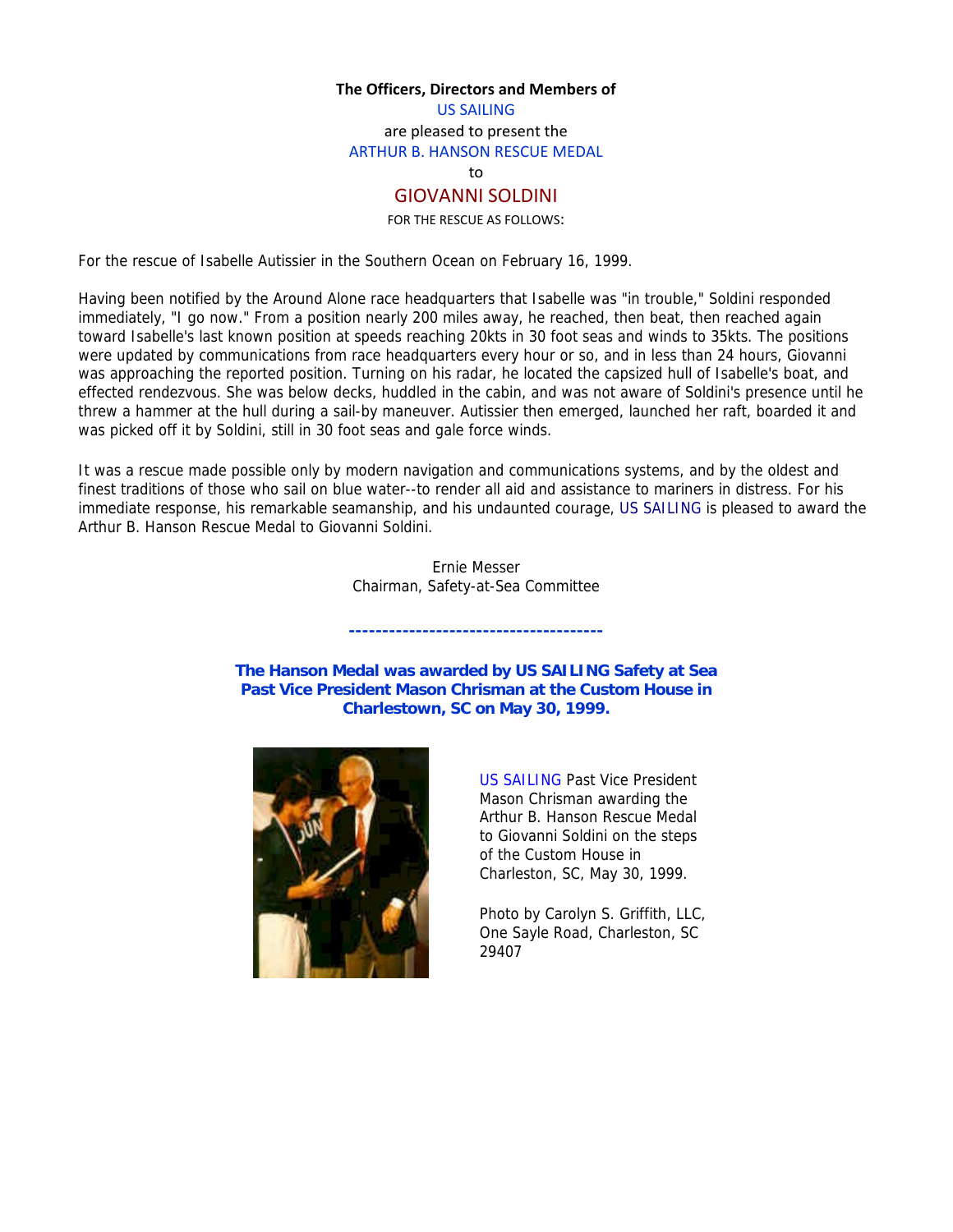#### **The Officers, Directors and Members of**

US SAILING are pleased to present the ARTHUR B. HANSON RESCUE MEDAL

to

# GIOVANNI SOLDINI

FOR THE RESCUE AS FOLLOWS:

For the rescue of Isabelle Autissier in the Southern Ocean on February 16, 1999.

Having been notified by the Around Alone race headquarters that Isabelle was "in trouble," Soldini responded immediately, "I go now." From a position nearly 200 miles away, he reached, then beat, then reached again toward Isabelle's last known position at speeds reaching 20kts in 30 foot seas and winds to 35kts. The positions were updated by communications from race headquarters every hour or so, and in less than 24 hours, Giovanni was approaching the reported position. Turning on his radar, he located the capsized hull of Isabelle's boat, and effected rendezvous. She was below decks, huddled in the cabin, and was not aware of Soldini's presence until he threw a hammer at the hull during a sail-by maneuver. Autissier then emerged, launched her raft, boarded it and was picked off it by Soldini, still in 30 foot seas and gale force winds.

It was a rescue made possible only by modern navigation and communications systems, and by the oldest and finest traditions of those who sail on blue water--to render all aid and assistance to mariners in distress. For his immediate response, his remarkable seamanship, and his undaunted courage, US SAILING is pleased to award the Arthur B. Hanson Rescue Medal to Giovanni Soldini.

> Ernie Messer Chairman, Safety-at-Sea Committee

**--------------------------------------** 

**The Hanson Medal was awarded by US SAILING Safety at Sea Past Vice President Mason Chrisman at the Custom House in Charlestown, SC on May 30, 1999.**



US SAILING Past Vice President Mason Chrisman awarding the Arthur B. Hanson Rescue Medal to Giovanni Soldini on the steps of the Custom House in Charleston, SC, May 30, 1999.

Photo by Carolyn S. Griffith, LLC, One Sayle Road, Charleston, SC 29407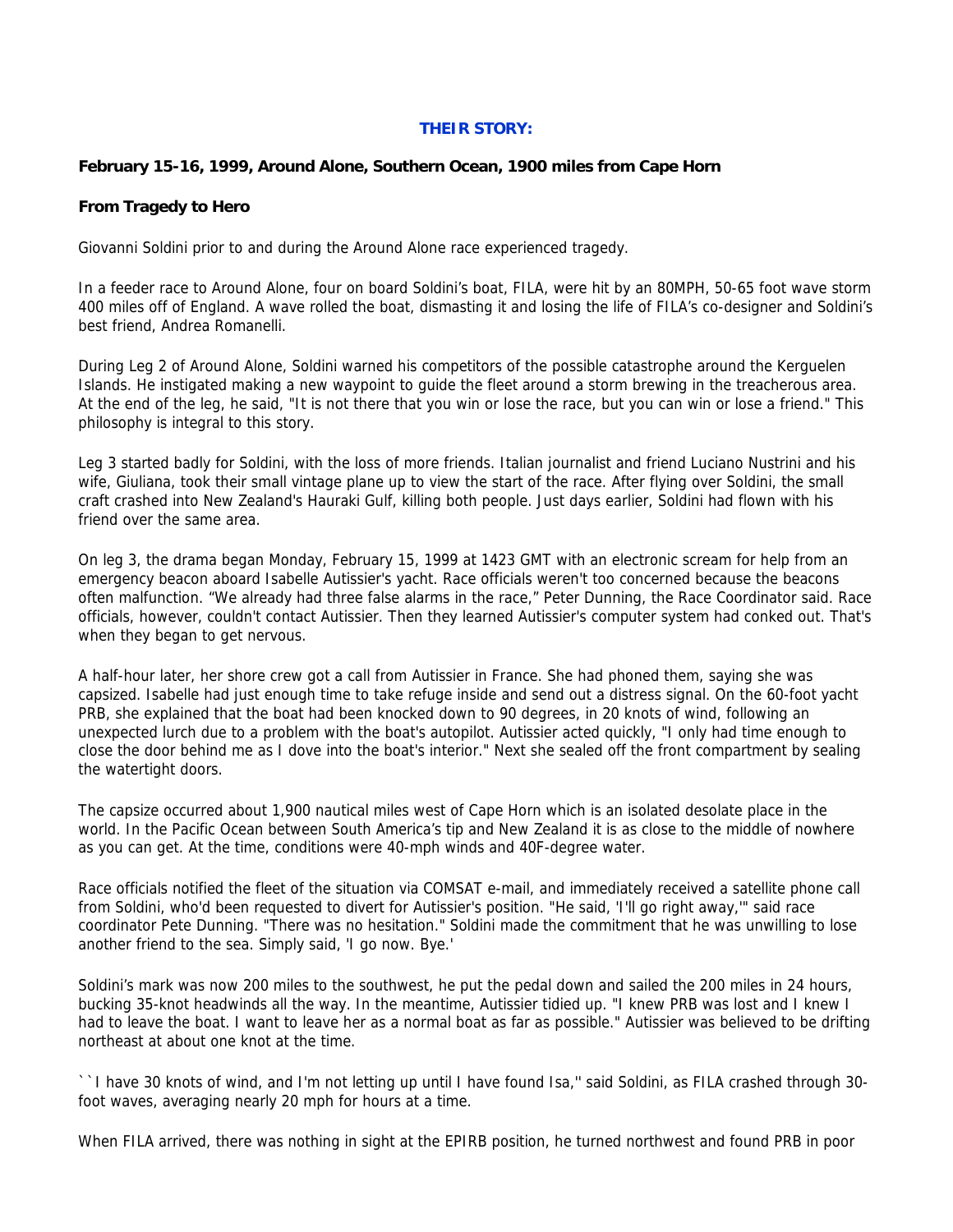## **THEIR STORY:**

## **February 15-16, 1999, Around Alone, Southern Ocean, 1900 miles from Cape Horn**

### **From Tragedy to Hero**

Giovanni Soldini prior to and during the Around Alone race experienced tragedy.

In a feeder race to Around Alone, four on board Soldini's boat, FILA, were hit by an 80MPH, 50-65 foot wave storm 400 miles off of England. A wave rolled the boat, dismasting it and losing the life of FILA's co-designer and Soldini's best friend, Andrea Romanelli.

During Leg 2 of Around Alone, Soldini warned his competitors of the possible catastrophe around the Kerguelen Islands. He instigated making a new waypoint to guide the fleet around a storm brewing in the treacherous area. At the end of the leg, he said, "It is not there that you win or lose the race, but you can win or lose a friend." This philosophy is integral to this story.

Leg 3 started badly for Soldini, with the loss of more friends. Italian journalist and friend Luciano Nustrini and his wife, Giuliana, took their small vintage plane up to view the start of the race. After flying over Soldini, the small craft crashed into New Zealand's Hauraki Gulf, killing both people. Just days earlier, Soldini had flown with his friend over the same area.

On leg 3, the drama began Monday, February 15, 1999 at 1423 GMT with an electronic scream for help from an emergency beacon aboard Isabelle Autissier's yacht. Race officials weren't too concerned because the beacons often malfunction. "We already had three false alarms in the race," Peter Dunning, the Race Coordinator said. Race officials, however, couldn't contact Autissier. Then they learned Autissier's computer system had conked out. That's when they began to get nervous.

A half-hour later, her shore crew got a call from Autissier in France. She had phoned them, saying she was capsized. Isabelle had just enough time to take refuge inside and send out a distress signal. On the 60-foot yacht PRB, she explained that the boat had been knocked down to 90 degrees, in 20 knots of wind, following an unexpected lurch due to a problem with the boat's autopilot. Autissier acted quickly, "I only had time enough to close the door behind me as I dove into the boat's interior." Next she sealed off the front compartment by sealing the watertight doors.

The capsize occurred about 1,900 nautical miles west of Cape Horn which is an isolated desolate place in the world. In the Pacific Ocean between South America's tip and New Zealand it is as close to the middle of nowhere as you can get. At the time, conditions were 40-mph winds and 40F-degree water.

Race officials notified the fleet of the situation via COMSAT e-mail, and immediately received a satellite phone call from Soldini, who'd been requested to divert for Autissier's position. "He said, 'I'll go right away,'" said race coordinator Pete Dunning. "There was no hesitation." Soldini made the commitment that he was unwilling to lose another friend to the sea. Simply said, 'I go now. Bye.'

Soldini's mark was now 200 miles to the southwest, he put the pedal down and sailed the 200 miles in 24 hours, bucking 35-knot headwinds all the way. In the meantime, Autissier tidied up. "I knew PRB was lost and I knew I had to leave the boat. I want to leave her as a normal boat as far as possible." Autissier was believed to be drifting northeast at about one knot at the time.

``I have 30 knots of wind, and I'm not letting up until I have found Isa,'' said Soldini, as FILA crashed through 30 foot waves, averaging nearly 20 mph for hours at a time.

When FILA arrived, there was nothing in sight at the EPIRB position, he turned northwest and found PRB in poor